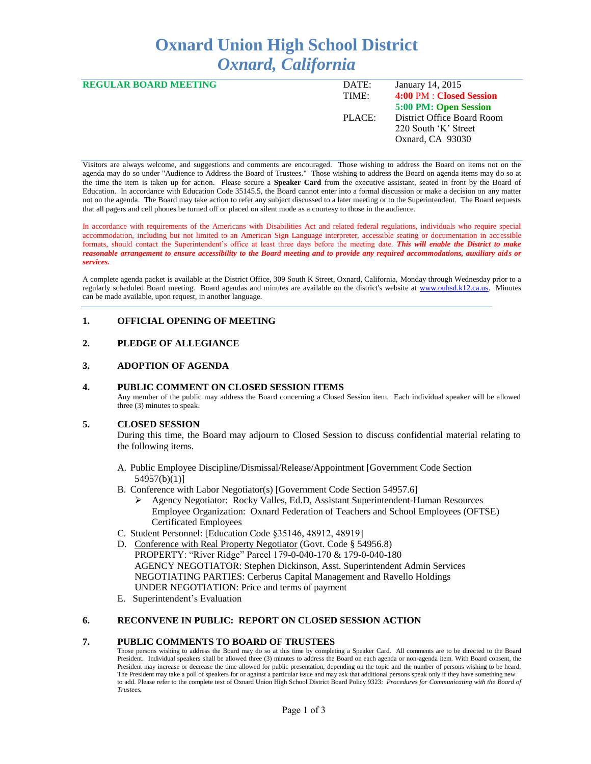# **Oxnard Union High School District** *Oxnard, California*

| <b>REGULAR BOARD MEETING</b> | DATE:  | January 14, 2015           |
|------------------------------|--------|----------------------------|
|                              | TIME:  | 4:00 PM : Closed Session   |
|                              |        | 5:00 PM: Open Session      |
|                              | PLACE: | District Office Board Room |
|                              |        | 220 South 'K' Street       |
|                              |        | Oxnard, CA 93030           |
|                              |        |                            |

Visitors are always welcome, and suggestions and comments are encouraged. Those wishing to address the Board on items not on the agenda may do so under "Audience to Address the Board of Trustees." Those wishing to address the Board on agenda items may do so at the time the item is taken up for action. Please secure a **Speaker Card** from the executive assistant, seated in front by the Board of Education. In accordance with Education Code 35145.5, the Board cannot enter into a formal discussion or make a decision on any matter not on the agenda. The Board may take action to refer any subject discussed to a later meeting or to the Superintendent. The Board requests that all pagers and cell phones be turned off or placed on silent mode as a courtesy to those in the audience.

In accordance with requirements of the Americans with Disabilities Act and related federal regulations, individuals who require special accommodation, including but not limited to an American Sign Language interpreter, accessible seating or documentation in accessible formats, should contact the Superintendent's office at least three days before the meeting date. *This will enable the District to make reasonable arrangement to ensure accessibility to the Board meeting and to provide any required accommodations, auxiliary aids or services.* 

A complete agenda packet is available at the District Office, 309 South K Street, Oxnard, California, Monday through Wednesday prior to a regularly scheduled Board meeting. Board agendas and minutes are available on the district's website at [www.ouhsd.k12.ca.us.](http://www.ouhsd.k12.ca.us/)Minutes can be made available, upon request, in another language.

## **1. OFFICIAL OPENING OF MEETING**

## **2. PLEDGE OF ALLEGIANCE**

#### **3. ADOPTION OF AGENDA**

#### **4. PUBLIC COMMENT ON CLOSED SESSION ITEMS**

Any member of the public may address the Board concerning a Closed Session item. Each individual speaker will be allowed three (3) minutes to speak.

#### **5. CLOSED SESSION**

During this time, the Board may adjourn to Closed Session to discuss confidential material relating to the following items.

- A. Public Employee Discipline/Dismissal/Release/Appointment [Government Code Section 54957(b)(1)]
- B. Conference with Labor Negotiator(s) [Government Code Section 54957.6]
	- Agency Negotiator: Rocky Valles, Ed.D, Assistant Superintendent-Human Resources Employee Organization: Oxnard Federation of Teachers and School Employees (OFTSE) Certificated Employees
- C. Student Personnel: [Education Code §35146, 48912, 48919]
- D. Conference with Real Property Negotiator (Govt. Code § 54956.8) PROPERTY: "River Ridge" Parcel 179-0-040-170 & 179-0-040-180 AGENCY NEGOTIATOR: Stephen Dickinson, Asst. Superintendent Admin Services NEGOTIATING PARTIES: Cerberus Capital Management and Ravello Holdings UNDER NEGOTIATION: Price and terms of payment
- E. Superintendent's Evaluation

## **6. RECONVENE IN PUBLIC: REPORT ON CLOSED SESSION ACTION**

## **7. PUBLIC COMMENTS TO BOARD OF TRUSTEES**

Those persons wishing to address the Board may do so at this time by completing a Speaker Card. All comments are to be directed to the Board President. Individual speakers shall be allowed three (3) minutes to address the Board on each agenda or non-agenda item. With Board consent, the President may increase or decrease the time allowed for public presentation, depending on the topic and the number of persons wishing to be heard. The President may take a poll of speakers for or against a particular issue and may ask that additional persons speak only if they have something new to add. Please refer to the complete text of Oxnard Union High School District Board Policy 9323: *Procedures for Communicating with the Board of Trustees.*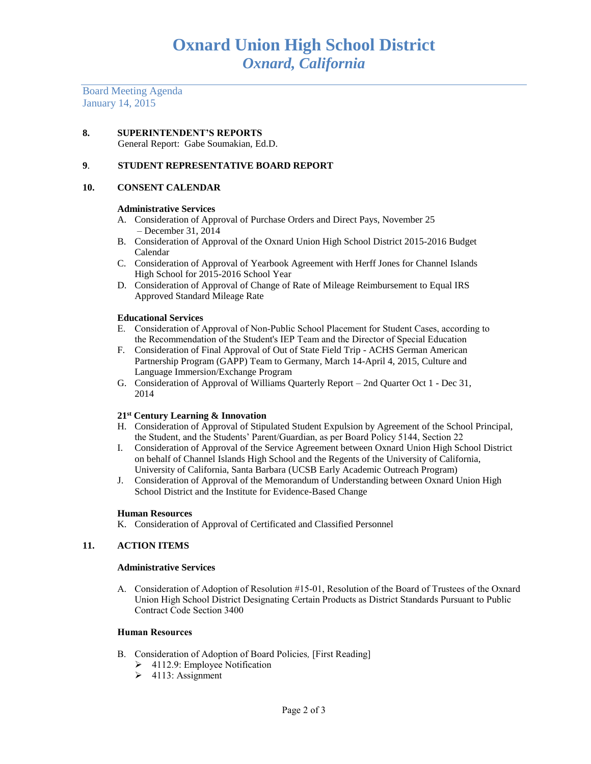Board Meeting Agenda January 14, 2015

**8. SUPERINTENDENT'S REPORTS** General Report: Gabe Soumakian, Ed.D.

#### **9**. **STUDENT REPRESENTATIVE BOARD REPORT**

#### **10. CONSENT CALENDAR**

#### **Administrative Services**

- A. Consideration of Approval of Purchase Orders and Direct Pays, November 25 – December 31, 2014
- B. Consideration of Approval of the Oxnard Union High School District 2015-2016 Budget Calendar
- C. Consideration of Approval of Yearbook Agreement with Herff Jones for Channel Islands High School for 2015-2016 School Year
- D. Consideration of Approval of Change of Rate of Mileage Reimbursement to Equal IRS Approved Standard Mileage Rate

#### **Educational Services**

- E. Consideration of Approval of Non-Public School Placement for Student Cases, according to the Recommendation of the Student's IEP Team and the Director of Special Education
- F. Consideration of Final Approval of Out of State Field Trip ACHS German American Partnership Program (GAPP) Team to Germany, March 14-April 4, 2015, Culture and Language Immersion/Exchange Program
- G. Consideration of Approval of Williams Quarterly Report 2nd Quarter Oct 1 Dec 31, 2014

#### **21st Century Learning & Innovation**

- H. Consideration of Approval of Stipulated Student Expulsion by Agreement of the School Principal, the Student, and the Students' Parent/Guardian, as per Board Policy 5144, Section 22
- I. Consideration of Approval of the Service Agreement between Oxnard Union High School District on behalf of Channel Islands High School and the Regents of the University of California, University of California, Santa Barbara (UCSB Early Academic Outreach Program)
- J. Consideration of Approval of the Memorandum of Understanding between Oxnard Union High School District and the Institute for Evidence-Based Change

#### **Human Resources**

K. Consideration of Approval of Certificated and Classified Personnel

## **11. ACTION ITEMS**

#### **Administrative Services**

A. Consideration of Adoption of Resolution #15-01, Resolution of the Board of Trustees of the Oxnard Union High School District Designating Certain Products as District Standards Pursuant to Public Contract Code Section 3400

#### **Human Resources**

- B. Consideration of Adoption of Board Policies*,* [First Reading]
	- $\geq$  4112.9: Employee Notification
	- $\geq$  4113: Assignment